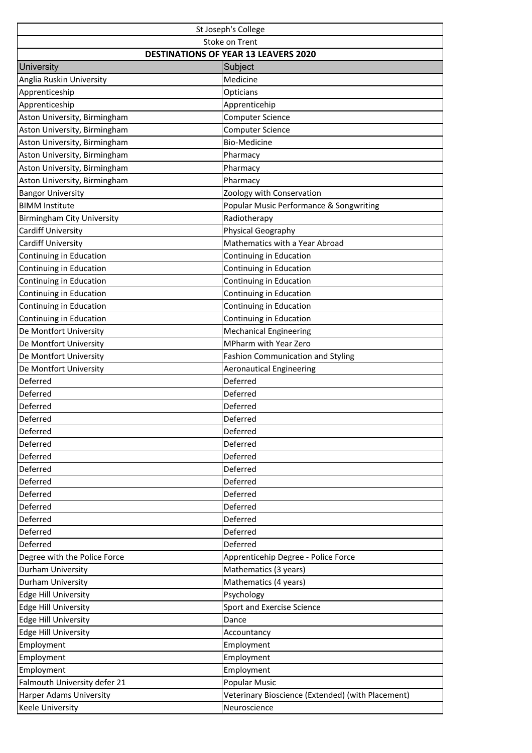| St Joseph's College                         |                                                   |  |
|---------------------------------------------|---------------------------------------------------|--|
| Stoke on Trent                              |                                                   |  |
| <b>DESTINATIONS OF YEAR 13 LEAVERS 2020</b> |                                                   |  |
| <b>University</b>                           | Subject                                           |  |
| Anglia Ruskin University                    | Medicine                                          |  |
| Apprenticeship                              | Opticians                                         |  |
| Apprenticeship                              | Apprenticehip                                     |  |
| Aston University, Birmingham                | <b>Computer Science</b>                           |  |
| Aston University, Birmingham                | <b>Computer Science</b>                           |  |
| Aston University, Birmingham                | <b>Bio-Medicine</b>                               |  |
| Aston University, Birmingham                | Pharmacy                                          |  |
| Aston University, Birmingham                | Pharmacy                                          |  |
| Aston University, Birmingham                | Pharmacy                                          |  |
| <b>Bangor University</b>                    | Zoology with Conservation                         |  |
| <b>BIMM Institute</b>                       | Popular Music Performance & Songwriting           |  |
| <b>Birmingham City University</b>           | Radiotherapy                                      |  |
| <b>Cardiff University</b>                   | Physical Geography                                |  |
| <b>Cardiff University</b>                   | Mathematics with a Year Abroad                    |  |
| Continuing in Education                     | Continuing in Education                           |  |
| Continuing in Education                     | Continuing in Education                           |  |
| Continuing in Education                     | Continuing in Education                           |  |
| Continuing in Education                     | Continuing in Education                           |  |
| Continuing in Education                     | Continuing in Education                           |  |
| Continuing in Education                     | Continuing in Education                           |  |
| De Montfort University                      | Mechanical Engineering                            |  |
| De Montfort University                      | MPharm with Year Zero                             |  |
| De Montfort University                      | <b>Fashion Communication and Styling</b>          |  |
| De Montfort University                      | <b>Aeronautical Engineering</b>                   |  |
| Deferred                                    | Deferred                                          |  |
| Deferred                                    | Deferred                                          |  |
| Deferred                                    | Deferred                                          |  |
| Deferred                                    | Deferred                                          |  |
| Deferred                                    | Deferred                                          |  |
| Deferred                                    | Deferred                                          |  |
| Deferred                                    | Deferred                                          |  |
| Deferred                                    | Deferred                                          |  |
| Deferred                                    | Deferred                                          |  |
| Deferred                                    | Deferred                                          |  |
| Deferred                                    | Deferred                                          |  |
| Deferred                                    | Deferred                                          |  |
| Deferred                                    | Deferred                                          |  |
| Deferred                                    | Deferred                                          |  |
| Degree with the Police Force                | Apprenticehip Degree - Police Force               |  |
| Durham University                           | Mathematics (3 years)                             |  |
| Durham University                           | Mathematics (4 years)                             |  |
| Edge Hill University                        | Psychology                                        |  |
| <b>Edge Hill University</b>                 | Sport and Exercise Science                        |  |
| <b>Edge Hill University</b>                 | Dance                                             |  |
| <b>Edge Hill University</b>                 | Accountancy                                       |  |
| Employment                                  | Employment                                        |  |
| Employment                                  | Employment                                        |  |
| Employment                                  | Employment                                        |  |
| Falmouth University defer 21                | Popular Music                                     |  |
| Harper Adams University                     | Veterinary Bioscience (Extended) (with Placement) |  |
| Keele University                            | Neuroscience                                      |  |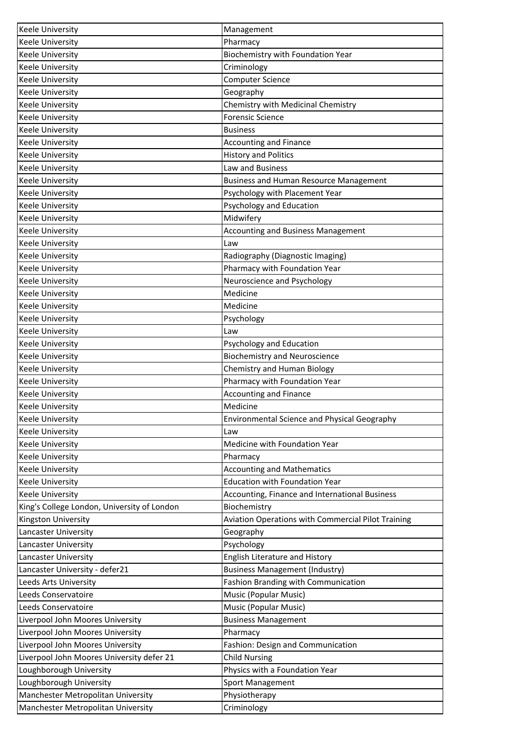| Pharmacy<br><b>Keele University</b><br>Biochemistry with Foundation Year<br><b>Keele University</b><br><b>Keele University</b><br>Criminology<br><b>Keele University</b><br><b>Computer Science</b> |
|-----------------------------------------------------------------------------------------------------------------------------------------------------------------------------------------------------|
|                                                                                                                                                                                                     |
|                                                                                                                                                                                                     |
|                                                                                                                                                                                                     |
|                                                                                                                                                                                                     |
| Keele University<br>Geography                                                                                                                                                                       |
| Chemistry with Medicinal Chemistry<br><b>Keele University</b>                                                                                                                                       |
| <b>Forensic Science</b><br><b>Keele University</b>                                                                                                                                                  |
| <b>Keele University</b><br><b>Business</b>                                                                                                                                                          |
| <b>Accounting and Finance</b><br><b>Keele University</b>                                                                                                                                            |
| <b>History and Politics</b><br><b>Keele University</b>                                                                                                                                              |
| Law and Business<br><b>Keele University</b>                                                                                                                                                         |
| <b>Keele University</b><br><b>Business and Human Resource Management</b>                                                                                                                            |
| <b>Keele University</b><br>Psychology with Placement Year                                                                                                                                           |
| Psychology and Education<br>Keele University                                                                                                                                                        |
| Midwifery<br>Keele University                                                                                                                                                                       |
| <b>Keele University</b><br>Accounting and Business Management                                                                                                                                       |
| <b>Keele University</b><br>Law                                                                                                                                                                      |
| <b>Keele University</b><br>Radiography (Diagnostic Imaging)                                                                                                                                         |
| <b>Keele University</b><br>Pharmacy with Foundation Year                                                                                                                                            |
| Neuroscience and Psychology<br>Keele University                                                                                                                                                     |
| Medicine<br><b>Keele University</b>                                                                                                                                                                 |
| Medicine<br><b>Keele University</b>                                                                                                                                                                 |
| Psychology<br><b>Keele University</b>                                                                                                                                                               |
| <b>Keele University</b><br>Law                                                                                                                                                                      |
| Keele University<br>Psychology and Education                                                                                                                                                        |
| <b>Biochemistry and Neuroscience</b><br><b>Keele University</b>                                                                                                                                     |
| Chemistry and Human Biology<br><b>Keele University</b>                                                                                                                                              |
| Pharmacy with Foundation Year<br><b>Keele University</b>                                                                                                                                            |
| <b>Accounting and Finance</b><br><b>Keele University</b>                                                                                                                                            |
| <b>Keele University</b><br>Medicine                                                                                                                                                                 |
| <b>Keele University</b><br><b>Environmental Science and Physical Geography</b>                                                                                                                      |
| <b>Keele University</b><br>Law                                                                                                                                                                      |
| Keele University<br>Medicine with Foundation Year                                                                                                                                                   |
| Keele University<br>Pharmacy                                                                                                                                                                        |
| <b>Keele University</b><br><b>Accounting and Mathematics</b>                                                                                                                                        |
| <b>Education with Foundation Year</b><br>Keele University                                                                                                                                           |
| Keele University<br>Accounting, Finance and International Business                                                                                                                                  |
| King's College London, University of London<br>Biochemistry                                                                                                                                         |
| Kingston University<br>Aviation Operations with Commercial Pilot Training                                                                                                                           |
| Lancaster University<br>Geography                                                                                                                                                                   |
| Psychology<br>Lancaster University                                                                                                                                                                  |
| Lancaster University<br>English Literature and History                                                                                                                                              |
| Lancaster University - defer21<br><b>Business Management (Industry)</b>                                                                                                                             |
| Fashion Branding with Communication<br>Leeds Arts University                                                                                                                                        |
| Leeds Conservatoire<br>Music (Popular Music)                                                                                                                                                        |
| Music (Popular Music)<br>Leeds Conservatoire                                                                                                                                                        |
| Liverpool John Moores University<br><b>Business Management</b>                                                                                                                                      |
| Liverpool John Moores University<br>Pharmacy                                                                                                                                                        |
| Liverpool John Moores University<br>Fashion: Design and Communication                                                                                                                               |
| Liverpool John Moores University defer 21<br><b>Child Nursing</b>                                                                                                                                   |
| Loughborough University<br>Physics with a Foundation Year                                                                                                                                           |
| Loughborough University<br>Sport Management                                                                                                                                                         |
| Manchester Metropolitan University<br>Physiotherapy                                                                                                                                                 |
| Manchester Metropolitan University<br>Criminology                                                                                                                                                   |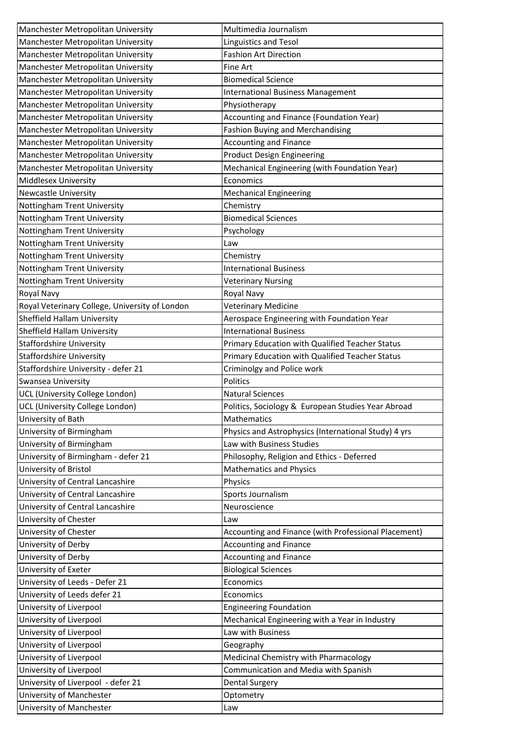| Manchester Metropolitan University             | Multimedia Journalism                                |
|------------------------------------------------|------------------------------------------------------|
| Manchester Metropolitan University             | Linguistics and Tesol                                |
| Manchester Metropolitan University             | <b>Fashion Art Direction</b>                         |
| Manchester Metropolitan University             | Fine Art                                             |
| Manchester Metropolitan University             | <b>Biomedical Science</b>                            |
| Manchester Metropolitan University             | <b>International Business Management</b>             |
| Manchester Metropolitan University             | Physiotherapy                                        |
| Manchester Metropolitan University             | Accounting and Finance (Foundation Year)             |
| Manchester Metropolitan University             | Fashion Buying and Merchandising                     |
| Manchester Metropolitan University             | <b>Accounting and Finance</b>                        |
| Manchester Metropolitan University             | <b>Product Design Engineering</b>                    |
| Manchester Metropolitan University             | Mechanical Engineering (with Foundation Year)        |
| Middlesex University                           | Economics                                            |
| <b>Newcastle University</b>                    | <b>Mechanical Engineering</b>                        |
| Nottingham Trent University                    | Chemistry                                            |
| Nottingham Trent University                    | <b>Biomedical Sciences</b>                           |
| Nottingham Trent University                    | Psychology                                           |
| Nottingham Trent University                    | Law                                                  |
| Nottingham Trent University                    | Chemistry                                            |
| Nottingham Trent University                    | <b>International Business</b>                        |
| Nottingham Trent University                    | <b>Veterinary Nursing</b>                            |
| Royal Navy                                     | Royal Navy                                           |
| Royal Veterinary College, University of London | <b>Veterinary Medicine</b>                           |
| Sheffield Hallam University                    | Aerospace Engineering with Foundation Year           |
| Sheffield Hallam University                    | <b>International Business</b>                        |
| Staffordshire University                       | Primary Education with Qualified Teacher Status      |
| <b>Staffordshire University</b>                | Primary Education with Qualified Teacher Status      |
| Staffordshire University - defer 21            | Criminolgy and Police work                           |
| Swansea University                             | Politics                                             |
| UCL (University College London)                | <b>Natural Sciences</b>                              |
| UCL (University College London)                | Politics, Sociology & European Studies Year Abroad   |
| University of Bath                             | Mathematics                                          |
| University of Birmingham                       | Physics and Astrophysics (International Study) 4 yrs |
| University of Birmingham                       | Law with Business Studies                            |
| University of Birmingham - defer 21            | Philosophy, Religion and Ethics - Deferred           |
| University of Bristol                          | <b>Mathematics and Physics</b>                       |
| University of Central Lancashire               | Physics                                              |
| University of Central Lancashire               | Sports Journalism                                    |
| University of Central Lancashire               | Neuroscience                                         |
| University of Chester                          | Law                                                  |
| University of Chester                          | Accounting and Finance (with Professional Placement) |
| University of Derby                            | Accounting and Finance                               |
| University of Derby                            | Accounting and Finance                               |
| University of Exeter                           | <b>Biological Sciences</b>                           |
| University of Leeds - Defer 21                 | Economics                                            |
| University of Leeds defer 21                   | Economics                                            |
| University of Liverpool                        | <b>Engineering Foundation</b>                        |
| University of Liverpool                        | Mechanical Engineering with a Year in Industry       |
| University of Liverpool                        | Law with Business                                    |
| University of Liverpool                        | Geography                                            |
| University of Liverpool                        | Medicinal Chemistry with Pharmacology                |
| University of Liverpool                        | Communication and Media with Spanish                 |
| University of Liverpool - defer 21             | <b>Dental Surgery</b>                                |
| University of Manchester                       | Optometry                                            |
| University of Manchester                       | Law                                                  |
|                                                |                                                      |